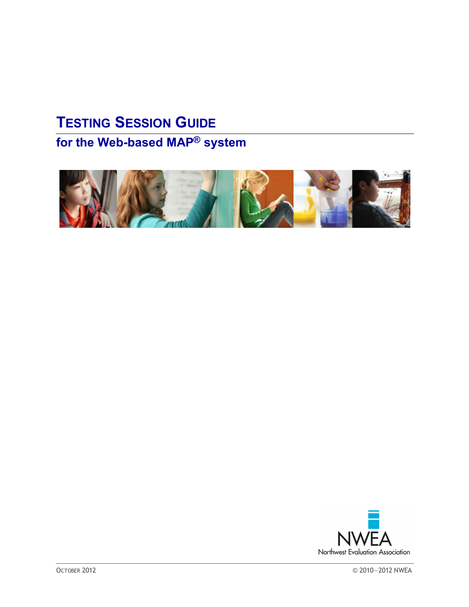# **TESTING SESSION GUIDE**

# **for the Web-based MAP® system**



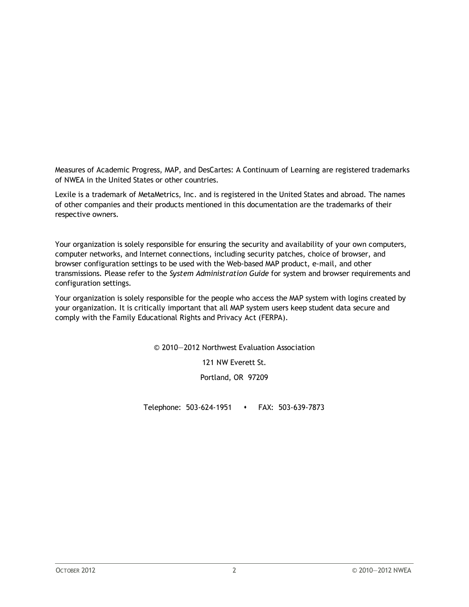Measures of Academic Progress, MAP, and DesCartes: A Continuum of Learning are registered trademarks of NWEA in the United States or other countries.

Lexile is a trademark of MetaMetrics, Inc. and is registered in the United States and abroad. The names of other companies and their products mentioned in this documentation are the trademarks of their respective owners.

Your organization is solely responsible for ensuring the security and availability of your own computers, computer networks, and Internet connections, including security patches, choice of browser, and browser configuration settings to be used with the Web-based MAP product, e-mail, and other transmissions. Please refer to the *System Administration Guide* for system and browser requirements and configuration settings.

Your organization is solely responsible for the people who access the MAP system with logins created by your organization. It is critically important that all MAP system users keep student data secure and comply with the Family Educational Rights and Privacy Act (FERPA).

© 2010—2012 Northwest Evaluation Association

121 NW Everett St.

Portland, OR 97209

Telephone: 503-624-1951 s FAX: 503-639-7873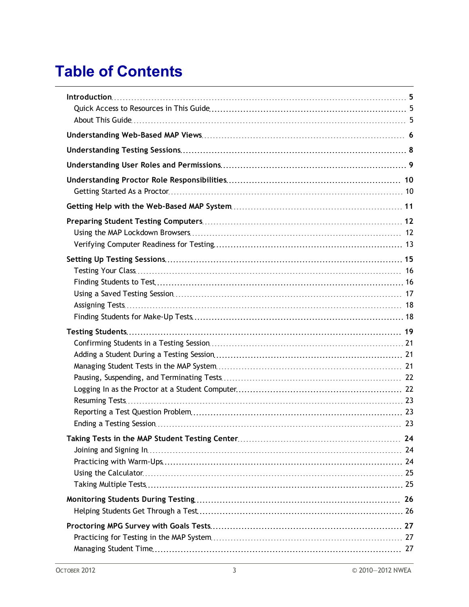# **Table of Contents**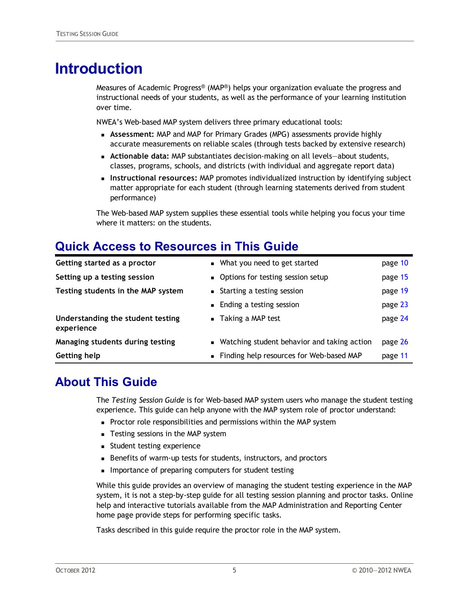## <span id="page-4-0"></span>**Introduction**

Measures of Academic Progress® (MAP®) helps your organization evaluate the progress and instructional needs of your students, as well as the performance of your learning institution over time.

NWEA's Web-based MAP system delivers three primary educational tools:

- **Assessment:** MAP and MAP for Primary Grades (MPG) assessments provide highly accurate measurements on reliable scales (through tests backed by extensive research)
- <sup>n</sup> **Actionable data:** MAP substantiates decision-making on all levels—about students, classes, programs, schools, and districts (with individual and aggregate report data)
- **n Instructional resources:** MAP promotes individualized instruction by identifying subject matter appropriate for each student (through learning statements derived from student performance)

The Web-based MAP system supplies these essential tools while helping you focus your time where it matters: on the students.

### <span id="page-4-1"></span>**Quick Access to Resources in This Guide**

| Getting help                                    | • Finding help resources for Web-based MAP    | page 11 |
|-------------------------------------------------|-----------------------------------------------|---------|
| Managing students during testing                | • Watching student behavior and taking action | page 26 |
| Understanding the student testing<br>experience | $\blacksquare$ Taking a MAP test              | page 24 |
|                                                 | • Ending a testing session                    | page 23 |
| Testing students in the MAP system              | ■ Starting a testing session                  | page 19 |
| Setting up a testing session                    | • Options for testing session setup           | page 15 |
| Getting started as a proctor                    | • What you need to get started                | page 10 |

#### <span id="page-4-2"></span>**About This Guide**

The *Testing Session Guide* is for Web-based MAP system users who manage the student testing experience. This guide can help anyone with the MAP system role of proctor understand:

- n Proctor role responsibilities and permissions within the MAP system
- Testing sessions in the MAP system
- **n** Student testing experience
- Benefits of warm-up tests for students, instructors, and proctors
- **n** Importance of preparing computers for student testing

While this guide provides an overview of managing the student testing experience in the MAP system, it is not a step-by-step guide for all testing session planning and proctor tasks. Online help and interactive tutorials available from the MAP Administration and Reporting Center home page provide steps for performing specific tasks.

Tasks described in this guide require the proctor role in the MAP system.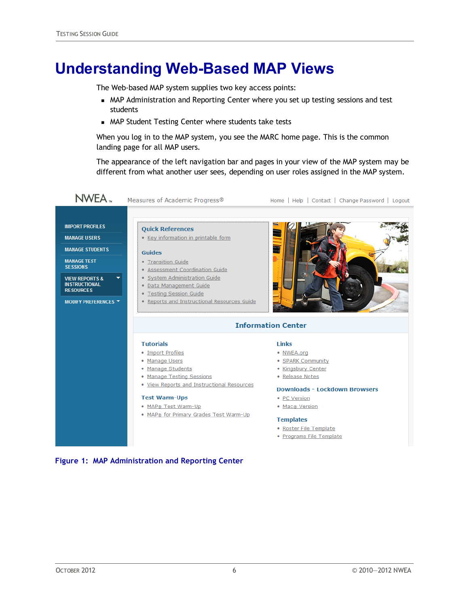## <span id="page-5-0"></span>**Understanding Web-Based MAP Views**

The Web-based MAP system supplies two key access points:

- n MAP Administration and Reporting Center where you set up testing sessions and test students
- **n** MAP Student Testing Center where students take tests

When you log in to the MAP system, you see the MARC home page. This is the common landing page for all MAP users.

The appearance of the left navigation bar and pages in your view of the MAP system may be different from what another user sees, depending on user roles assigned in the MAP system.



#### **Figure 1: MAP Administration and Reporting Center**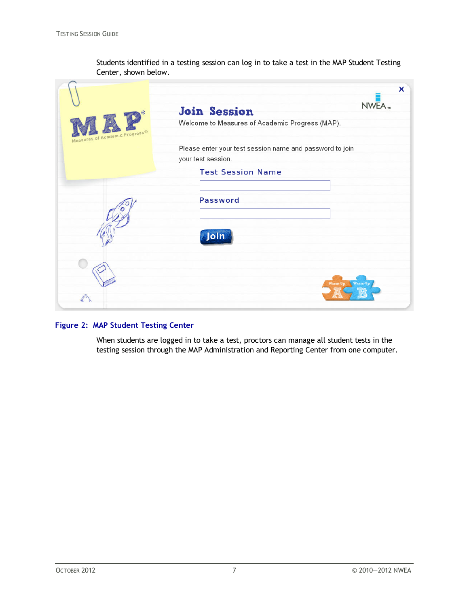Students identified in a testing session can log in to take a test in the MAP Student Testing Center, shown below.

| Progress® | x<br>NWEA.<br><b>Join Session</b><br>Welcome to Measures of Academic Progress (MAP).                       |
|-----------|------------------------------------------------------------------------------------------------------------|
| Measu     | Please enter your test session name and password to join<br>your test session.<br><b>Test Session Name</b> |
|           | <b>Password</b>                                                                                            |
|           | Join<br>Warm-Up<br>Warm-Up                                                                                 |

#### **Figure 2: MAP Student Testing Center**

When students are logged in to take a test, proctors can manage all student tests in the testing session through the MAP Administration and Reporting Center from one computer.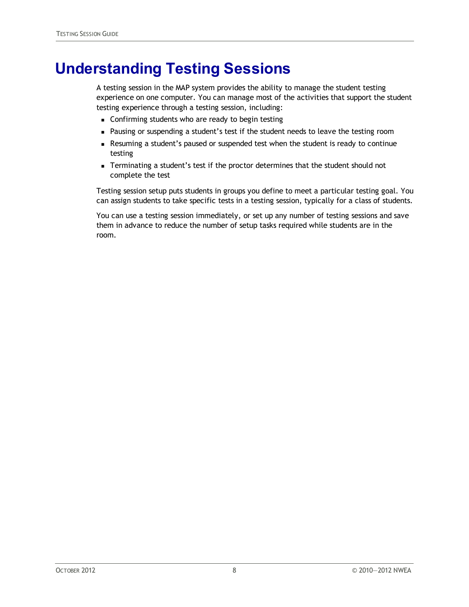## <span id="page-7-0"></span>**Understanding Testing Sessions**

A testing session in the MAP system provides the ability to manage the student testing experience on one computer. You can manage most of the activities that support the student testing experience through a testing session, including:

- **EXEC** Confirming students who are ready to begin testing
- n Pausing or suspending a student's test if the student needs to leave the testing room
- <sup>n</sup> Resuming a student's paused or suspended test when the student is ready to continue testing
- <sup>n</sup> Terminating a student's test if the proctor determines that the student should not complete the test

Testing session setup puts students in groups you define to meet a particular testing goal. You can assign students to take specific tests in a testing session, typically for a class of students.

You can use a testing session immediately, or set up any number of testing sessions and save them in advance to reduce the number of setup tasks required while students are in the room.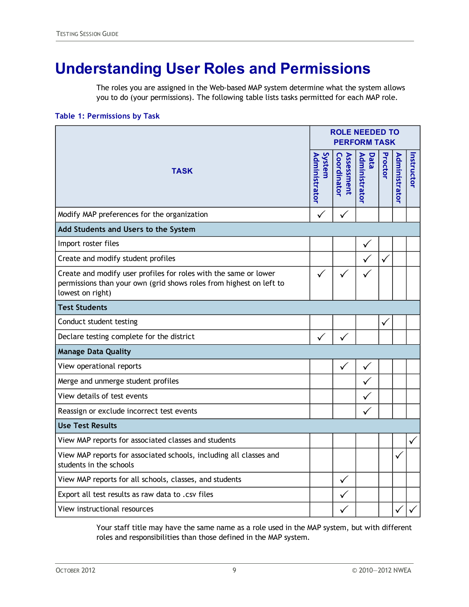# <span id="page-8-0"></span>**Understanding User Roles and Permissions**

The roles you are assigned in the Web-based MAP system determine what the system allows you to do (your permissions). The following table lists tasks permitted for each MAP role.

#### **Table 1: Permissions by Task**

|                                                                                                                                                             |                         | <b>ROLE NEEDED TO</b><br><b>PERFORM TASK</b> |                       |              |               |            |  |
|-------------------------------------------------------------------------------------------------------------------------------------------------------------|-------------------------|----------------------------------------------|-----------------------|--------------|---------------|------------|--|
| <b>TASK</b>                                                                                                                                                 | System<br>Administrator | Assessment<br>Coordinator                    | Administrator<br>Data | Proctor      | Administrator | Instructor |  |
| Modify MAP preferences for the organization                                                                                                                 | ✓                       | ✓                                            |                       |              |               |            |  |
| Add Students and Users to the System                                                                                                                        |                         |                                              |                       |              |               |            |  |
| Import roster files                                                                                                                                         |                         |                                              | ✓                     |              |               |            |  |
| Create and modify student profiles                                                                                                                          |                         |                                              |                       | $\checkmark$ |               |            |  |
| Create and modify user profiles for roles with the same or lower<br>permissions than your own (grid shows roles from highest on left to<br>lowest on right) | $\checkmark$            |                                              |                       |              |               |            |  |
| <b>Test Students</b>                                                                                                                                        |                         |                                              |                       |              |               |            |  |
| Conduct student testing                                                                                                                                     |                         |                                              |                       | ✓            |               |            |  |
| Declare testing complete for the district                                                                                                                   |                         | $\checkmark$                                 |                       |              |               |            |  |
| <b>Manage Data Quality</b>                                                                                                                                  |                         |                                              |                       |              |               |            |  |
| View operational reports                                                                                                                                    |                         | $\checkmark$                                 | $\checkmark$          |              |               |            |  |
| Merge and unmerge student profiles                                                                                                                          |                         |                                              | ✓                     |              |               |            |  |
| View details of test events                                                                                                                                 |                         |                                              |                       |              |               |            |  |
| Reassign or exclude incorrect test events                                                                                                                   |                         |                                              | ✓                     |              |               |            |  |
| <b>Use Test Results</b>                                                                                                                                     |                         |                                              |                       |              |               |            |  |
| View MAP reports for associated classes and students                                                                                                        |                         |                                              |                       |              |               | ✓          |  |
| View MAP reports for associated schools, including all classes and<br>students in the schools                                                               |                         |                                              |                       |              | ✓             |            |  |
| View MAP reports for all schools, classes, and students                                                                                                     |                         | $\checkmark$                                 |                       |              |               |            |  |
| Export all test results as raw data to .csv files                                                                                                           |                         | $\checkmark$                                 |                       |              |               |            |  |
| View instructional resources                                                                                                                                |                         |                                              |                       |              |               |            |  |

Your staff title may have the same name as a role used in the MAP system, but with different roles and responsibilities than those defined in the MAP system.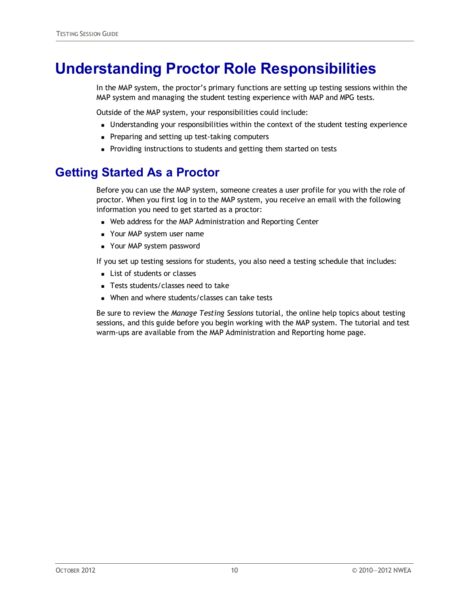# <span id="page-9-0"></span>**Understanding Proctor Role Responsibilities**

In the MAP system, the proctor's primary functions are setting up testing sessions within the MAP system and managing the student testing experience with MAP and MPG tests.

Outside of the MAP system, your responsibilities could include:

- **I.** Understanding your responsibilities within the context of the student testing experience
- Preparing and setting up test-taking computers
- n Providing instructions to students and getting them started on tests

### <span id="page-9-1"></span>**Getting Started As a Proctor**

Before you can use the MAP system, someone creates a user profile for you with the role of proctor. When you first log in to the MAP system, you receive an email with the following information you need to get started as a proctor:

- Web address for the MAP Administration and Reporting Center
- Your MAP system user name
- Your MAP system password

If you set up testing sessions for students, you also need a testing schedule that includes:

- List of students or classes
- Tests students/classes need to take
- When and where students/classes can take tests

Be sure to review the *Manage Testing Sessions* tutorial, the online help topics about testing sessions, and this guide before you begin working with the MAP system. The tutorial and test warm-ups are available from the MAP Administration and Reporting home page.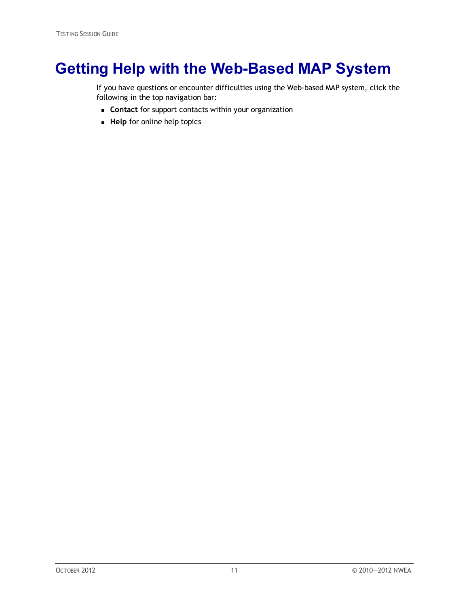# <span id="page-10-0"></span>**Getting Help with the Web-Based MAP System**

If you have questions or encounter difficulties using the Web-based MAP system, click the following in the top navigation bar:

- **contact** for support contacts within your organization
- **Help** for online help topics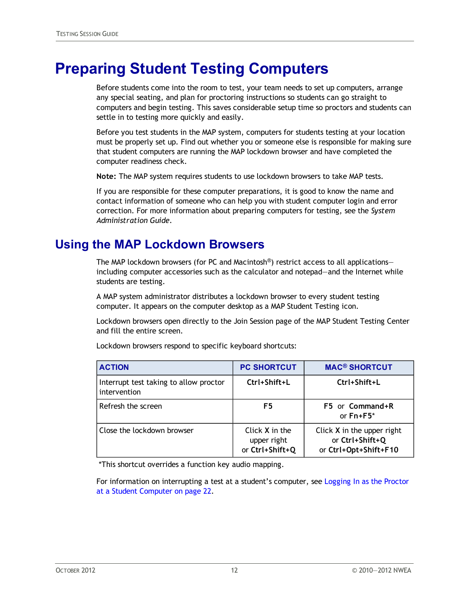## <span id="page-11-0"></span>**Preparing Student Testing Computers**

Before students come into the room to test, your team needs to set up computers, arrange any special seating, and plan for proctoring instructions so students can go straight to computers and begin testing. This saves considerable setup time so proctors and students can settle in to testing more quickly and easily.

Before you test students in the MAP system, computers for students testing at your location must be properly set up. Find out whether you or someone else is responsible for making sure that student computers are running the MAP lockdown browser and have completed the computer readiness check.

**Note:** The MAP system requires students to use lockdown browsers to take MAP tests.

If you are responsible for these computer preparations, it is good to know the name and contact information of someone who can help you with student computer login and error correction. For more information about preparing computers for testing, see the *System Administration Guide*.

#### <span id="page-11-1"></span>**Using the MAP Lockdown Browsers**

The MAP lockdown browsers (for PC and Macintosh<sup>®</sup>) restrict access to all applications including computer accessories such as the calculator and notepad—and the Internet while students are testing.

A MAP system administrator distributes a lockdown browser to every student testing computer. It appears on the computer desktop as a MAP Student Testing icon.

Lockdown browsers open directly to the Join Session page of the MAP Student Testing Center and fill the entire screen.

| <b>ACTION</b>                                          | <b>PC SHORTCUT</b>                               | <b>MAC<sup>®</sup> SHORTCUT</b>                                          |
|--------------------------------------------------------|--------------------------------------------------|--------------------------------------------------------------------------|
| Interrupt test taking to allow proctor<br>intervention | Ctrl+Shift+L                                     | Ctrl+Shift+L                                                             |
| Refresh the screen                                     | F5                                               | F5 or Command+R<br>or $Fn + F5$ *                                        |
| Close the lockdown browser                             | Click X in the<br>upper right<br>or Ctrl+Shift+Q | Click $X$ in the upper right<br>or Ctrl+Shift+Q<br>or Ctrl+Opt+Shift+F10 |

Lockdown browsers respond to specific keyboard shortcuts:

\*This shortcut overrides a function key audio mapping.

For information on interrupting a test at a student's computer, see [Logging](#page-21-1) [In](#page-21-1) [as](#page-21-1) [the](#page-21-1) [Proctor](#page-21-1) [at](#page-21-1) [a](#page-21-1) [Student](#page-21-1) [Computer](#page-21-1) [on](#page-21-1) [page](#page-21-1) [22](#page-21-1).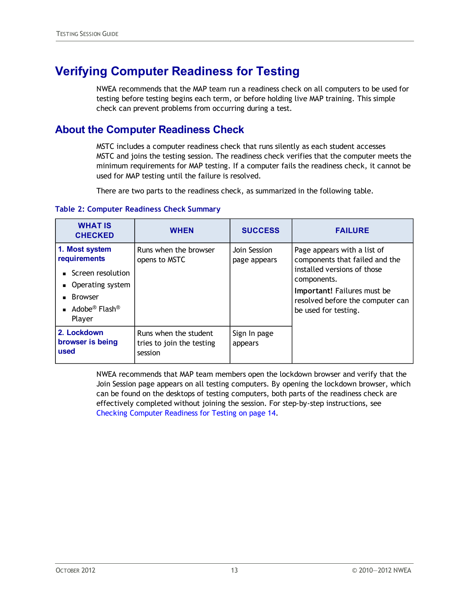### <span id="page-12-0"></span>**Verifying Computer Readiness for Testing**

NWEA recommends that the MAP team run a readiness check on all computers to be used for testing before testing begins each term, or before holding live MAP training. This simple check can prevent problems from occurring during a test.

#### **About the Computer Readiness Check**

MSTC includes a computer readiness check that runs silently as each student accesses MSTC and joins the testing session. The readiness check verifies that the computer meets the minimum requirements for MAP testing. If a computer fails the readiness check, it cannot be used for MAP testing until the failure is resolved.

There are two parts to the readiness check, as summarized in the following table.

#### **Table 2: Computer Readiness Check Summary**

| <b>WHAT IS</b><br><b>CHECKED</b>                                                                                                             | <b>WHEN</b>                                                   | <b>SUCCESS</b>               | <b>FAILURE</b>                                                                                                                                                                                         |
|----------------------------------------------------------------------------------------------------------------------------------------------|---------------------------------------------------------------|------------------------------|--------------------------------------------------------------------------------------------------------------------------------------------------------------------------------------------------------|
| 1. Most system<br>requirements<br>Screen resolution<br>Operating system<br><b>Browser</b><br>Adobe <sup>®</sup> Flash <sup>®</sup><br>Player | Runs when the browser<br>opens to MSTC                        | Join Session<br>page appears | Page appears with a list of<br>components that failed and the<br>installed versions of those<br>components.<br>Important! Failures must be<br>resolved before the computer can<br>be used for testing. |
| 2. Lockdown<br>browser is being<br>used                                                                                                      | Runs when the student<br>tries to join the testing<br>session | Sign In page<br>appears      |                                                                                                                                                                                                        |

NWEA recommends that MAP team members open the lockdown browser and verify that the Join Session page appears on all testing computers. By opening the lockdown browser, which can be found on the desktops of testing computers, both parts of the readiness check are effectively completed without joining the session. For step-by-step instructions, see [Checking](#page-13-0) [Computer](#page-13-0) [Readiness](#page-13-0) [for](#page-13-0) [Testing](#page-13-0) [on](#page-13-0) [page](#page-13-0) [14](#page-13-0).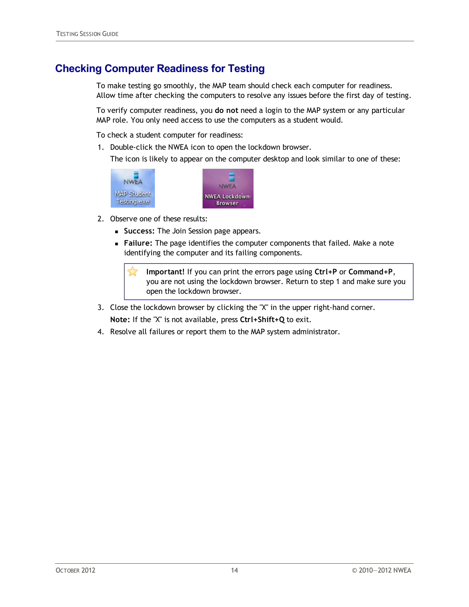#### <span id="page-13-0"></span>**Checking Computer Readiness for Testing**

To make testing go smoothly, the MAP team should check each computer for readiness. Allow time after checking the computers to resolve any issues before the first day of testing.

To verify computer readiness, you **do not** need a login to the MAP system or any particular MAP role. You only need access to use the computers as a student would.

To check a student computer for readiness:

1. Double-click the NWEA icon to open the lockdown browser.

The icon is likely to appear on the computer desktop and look similar to one of these:



- 2. Observe one of these results:
	- **s Success: The Join Session page appears.**
	- **Failure:** The page identifies the computer components that failed. Make a note identifying the computer and its failing components.

**Important!** If you can print the errors page using **Ctrl+P** or **Command+P**, you are not using the lockdown browser. Return to step 1 and make sure you open the lockdown browser.

- 3. Close the lockdown browser by clicking the "X" in the upper right-hand corner. **Note:** If the "X" is not available, press **Ctrl+Shift+Q** to exit.
- 4. Resolve all failures or report them to the MAP system administrator.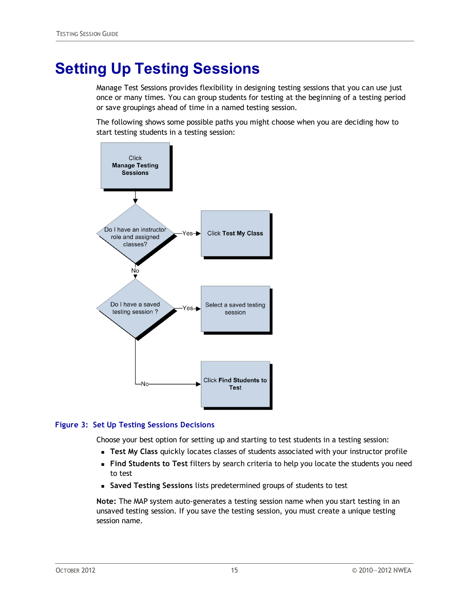# <span id="page-14-0"></span>**Setting Up Testing Sessions**

Manage Test Sessions provides flexibility in designing testing sessions that you can use just once or many times. You can group students for testing at the beginning of a testing period or save groupings ahead of time in a named testing session.

The following shows some possible paths you might choose when you are deciding how to start testing students in a testing session:



#### **Figure 3: Set Up Testing Sessions Decisions**

Choose your best option for setting up and starting to test students in a testing session:

- <sup>n</sup> **Test My Class** quickly locates classes of students associated with your instructor profile
- <sup>n</sup> **Find Students to Test** filters by search criteria to help you locate the students you need to test
- <sup>n</sup> **Saved Testing Sessions** lists predetermined groups of students to test

**Note:** The MAP system auto-generates a testing session name when you start testing in an unsaved testing session. If you save the testing session, you must create a unique testing session name.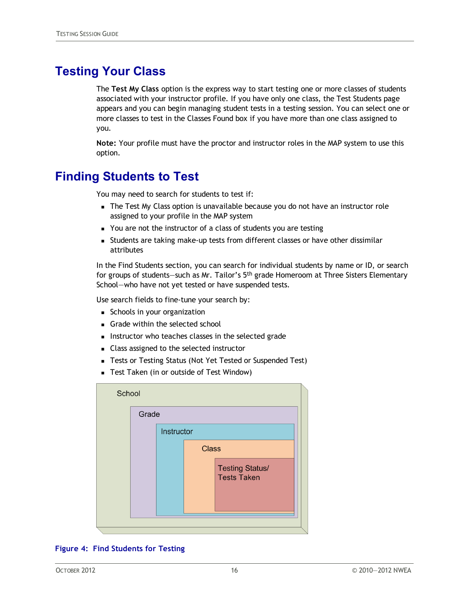### <span id="page-15-0"></span>**Testing Your Class**

The **Test My Class** option is the express way to start testing one or more classes of students associated with your instructor profile. If you have only one class, the Test Students page appears and you can begin managing student tests in a testing session. You can select one or more classes to test in the Classes Found box if you have more than one class assigned to you.

**Note:** Your profile must have the proctor and instructor roles in the MAP system to use this option.

#### <span id="page-15-1"></span>**Finding Students to Test**

You may need to search for students to test if:

- The Test My Class option is unavailable because you do not have an instructor role assigned to your profile in the MAP system
- You are not the instructor of a class of students you are testing
- <sup>n</sup> Students are taking make-up tests from different classes or have other dissimilar attributes

In the Find Students section, you can search for individual students by name or ID, or search for groups of students—such as Mr. Tailor's 5<sup>th</sup> grade Homeroom at Three Sisters Elementary School—who have not yet tested or have suspended tests.

Use search fields to fine-tune your search by:

- **n** Schools in your organization
- **n** Grade within the selected school
- n Instructor who teaches classes in the selected grade
- Class assigned to the selected instructor
- Tests or Testing Status (Not Yet Tested or Suspended Test)
- Test Taken (in or outside of Test Window)

| School |       |            |              |                                              |  |
|--------|-------|------------|--------------|----------------------------------------------|--|
|        | Grade |            |              |                                              |  |
|        |       | Instructor |              |                                              |  |
|        |       |            | <b>Class</b> |                                              |  |
|        |       |            |              | <b>Testing Status/</b><br><b>Tests Taken</b> |  |
|        |       |            |              |                                              |  |

#### **Figure 4: Find Students for Testing**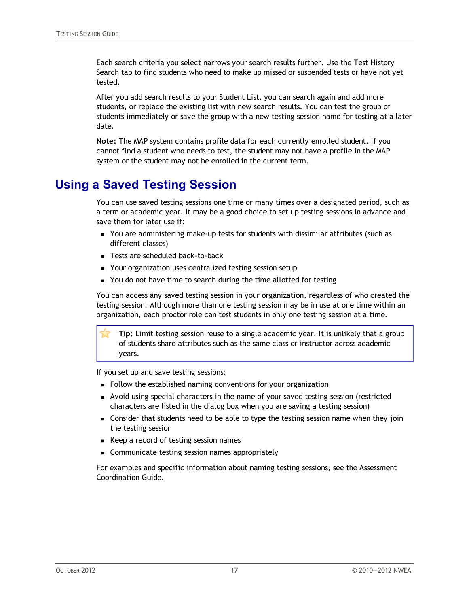Each search criteria you select narrows your search results further. Use the Test History Search tab to find students who need to make up missed or suspended tests or have not yet tested.

After you add search results to your Student List, you can search again and add more students, or replace the existing list with new search results. You can test the group of students immediately or save the group with a new testing session name for testing at a later date.

**Note:** The MAP system contains profile data for each currently enrolled student. If you cannot find a student who needs to test, the student may not have a profile in the MAP system or the student may not be enrolled in the current term.

### <span id="page-16-0"></span>**Using a Saved Testing Session**

You can use saved testing sessions one time or many times over a designated period, such as a term or academic year. It may be a good choice to set up testing sessions in advance and save them for later use if:

- **n** You are administering make-up tests for students with dissimilar attributes (such as different classes)
- Tests are scheduled back-to-back
- Your organization uses centralized testing session setup
- You do not have time to search during the time allotted for testing

You can access any saved testing session in your organization, regardless of who created the testing session. Although more than one testing session may be in use at one time within an organization, each proctor role can test students in only one testing session at a time.

**Tip:** Limit testing session reuse to a single academic year. It is unlikely that a group of students share attributes such as the same class or instructor across academic years.

If you set up and save testing sessions:

- <sup>n</sup> Follow the established naming conventions for your organization
- n Avoid using special characters in the name of your saved testing session (restricted characters are listed in the dialog box when you are saving a testing session)
- <sup>n</sup> Consider that students need to be able to type the testing session name when they join the testing session
- <sup>n</sup> Keep a record of testing session names
- **EXECOMMUNICATE LETTER SESSION NAMES Appropriately**

For examples and specific information about naming testing sessions, see the Assessment Coordination Guide.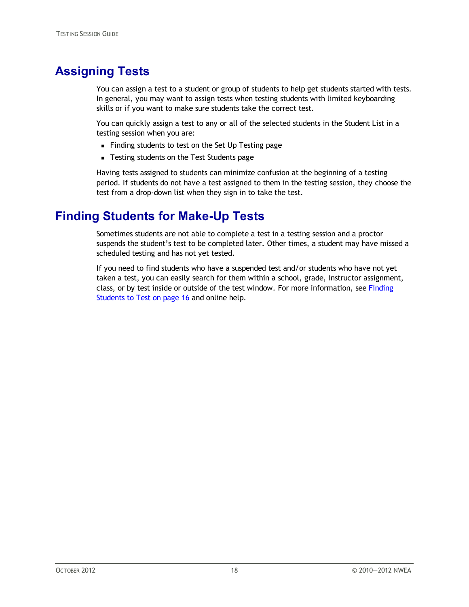### <span id="page-17-0"></span>**Assigning Tests**

You can assign a test to a student or group of students to help get students started with tests. In general, you may want to assign tests when testing students with limited keyboarding skills or if you want to make sure students take the correct test.

You can quickly assign a test to any or all of the selected students in the Student List in a testing session when you are:

- <sup>n</sup> Finding students to test on the Set Up Testing page
- Testing students on the Test Students page

Having tests assigned to students can minimize confusion at the beginning of a testing period. If students do not have a test assigned to them in the testing session, they choose the test from a drop-down list when they sign in to take the test.

### <span id="page-17-1"></span>**Finding Students for Make-Up Tests**

Sometimes students are not able to complete a test in a testing session and a proctor suspends the student's test to be completed later. Other times, a student may have missed a scheduled testing and has not yet tested.

If you need to find students who have a suspended test and/or students who have not yet taken a test, you can easily search for them within a school, grade, instructor assignment, class, or by test inside or outside of the test window. For more information, see [Finding](#page-15-1) [Students](#page-15-1) [to](#page-15-1) [Test](#page-15-1) [on](#page-15-1) [page](#page-15-1) [16](#page-15-1) and online help.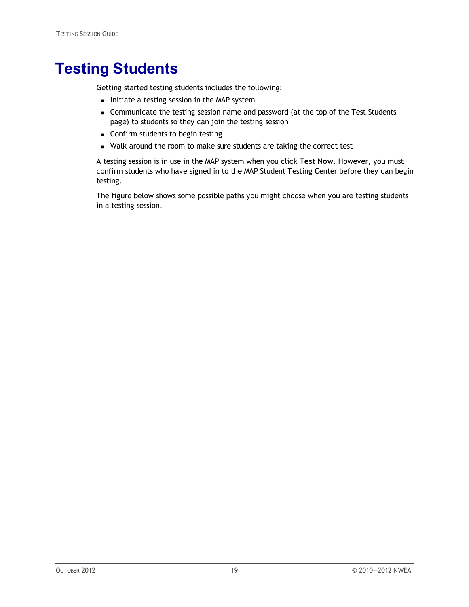## <span id="page-18-0"></span>**Testing Students**

Getting started testing students includes the following:

- n Initiate a testing session in the MAP system
- <sup>n</sup> Communicate the testing session name and password (at the top of the Test Students page) to students so they can join the testing session
- **n** Confirm students to begin testing
- Walk around the room to make sure students are taking the correct test

A testing session is in use in the MAP system when you click **Test Now**. However, you must confirm students who have signed in to the MAP Student Testing Center before they can begin testing.

The figure below shows some possible paths you might choose when you are testing students in a testing session.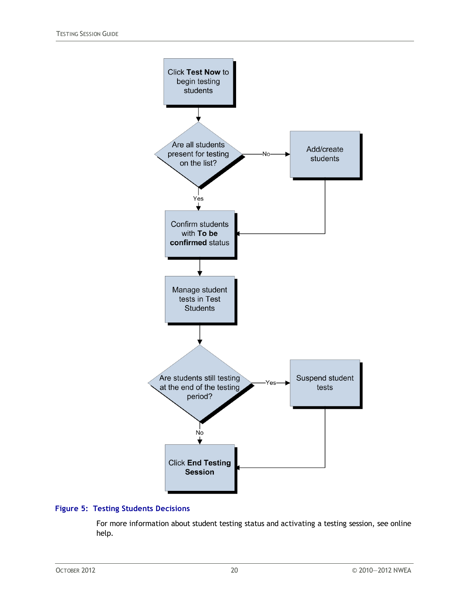

#### **Figure 5: Testing Students Decisions**

For more information about student testing status and activating a testing session, see online help.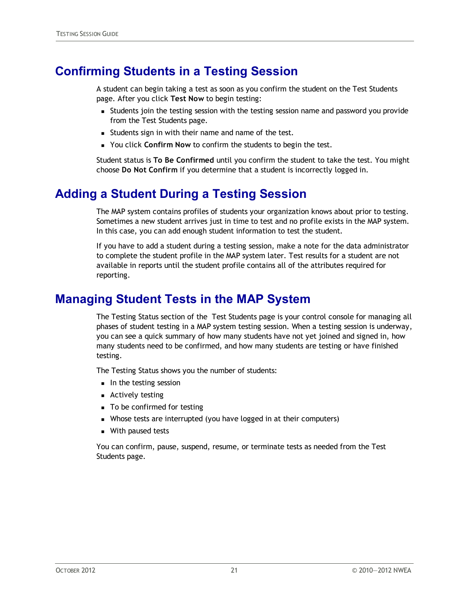### <span id="page-20-0"></span>**Confirming Students in a Testing Session**

A student can begin taking a test as soon as you confirm the student on the Test Students page. After you click **Test Now** to begin testing:

- **n** Students join the testing session with the testing session name and password you provide from the Test Students page.
- **s** Students sign in with their name and name of the test.
- **Nou click Confirm Now to confirm the students to begin the test.**

Student status is **To Be Confirmed** until you confirm the student to take the test. You might choose **Do Not Confirm** if you determine that a student is incorrectly logged in.

#### <span id="page-20-1"></span>**Adding a Student During a Testing Session**

The MAP system contains profiles of students your organization knows about prior to testing. Sometimes a new student arrives just in time to test and no profile exists in the MAP system. In this case, you can add enough student information to test the student.

If you have to add a student during a testing session, make a note for the data administrator to complete the student profile in the MAP system later. Test results for a student are not available in reports until the student profile contains all of the attributes required for reporting.

#### <span id="page-20-2"></span>**Managing Student Tests in the MAP System**

The Testing Status section of the Test Students page is your control console for managing all phases of student testing in a MAP system testing session. When a testing session is underway, you can see a quick summary of how many students have not yet joined and signed in, how many students need to be confirmed, and how many students are testing or have finished testing.

The Testing Status shows you the number of students:

- n In the testing session
- **n** Actively testing
- To be confirmed for testing
- Whose tests are interrupted (you have logged in at their computers)
- **No.** With paused tests

You can confirm, pause, suspend, resume, or terminate tests as needed from the Test Students page.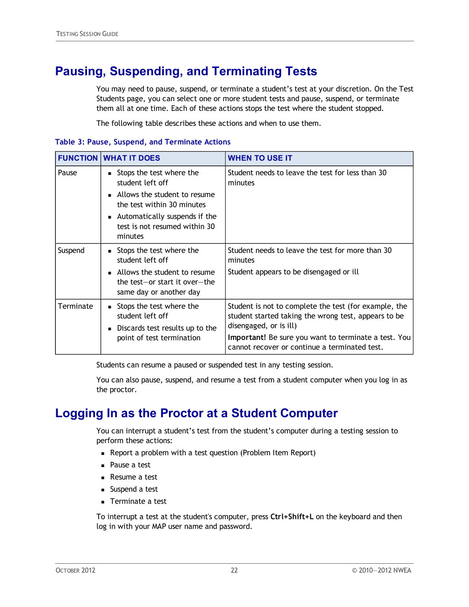### <span id="page-21-0"></span>**Pausing, Suspending, and Terminating Tests**

You may need to pause, suspend, or terminate a student's test at your discretion. On the Test Students page, you can select one or more student tests and pause, suspend, or terminate them all at one time. Each of these actions stops the test where the student stopped.

The following table describes these actions and when to use them.

|  |  |  |  |  | Table 3: Pause, Suspend, and Terminate Actions |  |
|--|--|--|--|--|------------------------------------------------|--|
|--|--|--|--|--|------------------------------------------------|--|

|           | <b>FUNCTION WHAT IT DOES</b>                                                                                                                                                                     | <b>WHEN TO USE IT</b>                                                                                                                                                                                                                            |
|-----------|--------------------------------------------------------------------------------------------------------------------------------------------------------------------------------------------------|--------------------------------------------------------------------------------------------------------------------------------------------------------------------------------------------------------------------------------------------------|
| Pause     | Stops the test where the<br>٠<br>student left off<br>• Allows the student to resume<br>the test within 30 minutes<br>• Automatically suspends if the<br>test is not resumed within 30<br>minutes | Student needs to leave the test for less than 30<br>minutes                                                                                                                                                                                      |
| Suspend   | Stops the test where the<br>٠<br>student left off<br>• Allows the student to resume<br>the test-or start it over-the<br>same day or another day                                                  | Student needs to leave the test for more than 30<br>minutes<br>Student appears to be disengaged or ill                                                                                                                                           |
| Terminate | ■ Stops the test where the<br>student left off<br>Discards test results up to the<br>$\blacksquare$<br>point of test termination                                                                 | Student is not to complete the test (for example, the<br>student started taking the wrong test, appears to be<br>disengaged, or is ill)<br>Important! Be sure you want to terminate a test. You<br>cannot recover or continue a terminated test. |

Students can resume a paused or suspended test in any testing session.

You can also pause, suspend, and resume a test from a student computer when you log in as the proctor.

### <span id="page-21-1"></span>**Logging In as the Proctor at a Student Computer**

You can interrupt a student's test from the student's computer during a testing session to perform these actions:

- **Report a problem with a test question (Problem Item Report)**
- Pause a test
- **Resume a test**
- Suspend a test
- **n** Terminate a test

To interrupt a test at the student's computer, press **Ctrl+Shift+L** on the keyboard and then log in with your MAP user name and password.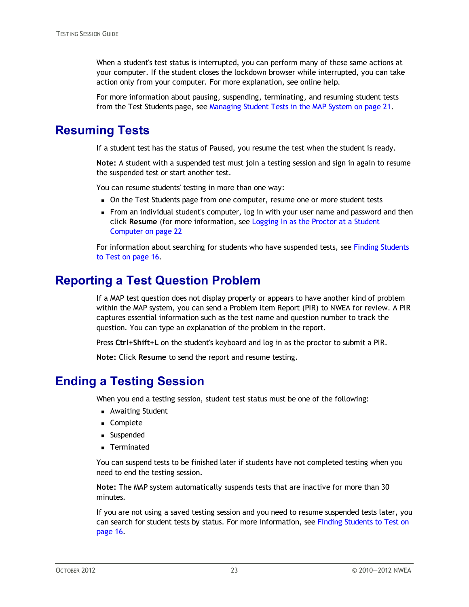When a student's test status is interrupted, you can perform many of these same actions at your computer. If the student closes the lockdown browser while interrupted, you can take action only from your computer. For more explanation, see online help.

For more information about pausing, suspending, terminating, and resuming student tests from the Test Students page, see [Managing](#page-20-2) [Student](#page-20-2) [Tests](#page-20-2) [in](#page-20-2) [the](#page-20-2) [MAP](#page-20-2) [System](#page-20-2) [on](#page-20-2) [page](#page-20-2) [21.](#page-20-2)

#### <span id="page-22-0"></span>**Resuming Tests**

If a student test has the status of Paused, you resume the test when the student is ready.

**Note:** A student with a suspended test must join a testing session and sign in again to resume the suspended test or start another test.

You can resume students' testing in more than one way:

- n On the Test Students page from one computer, resume one or more student tests
- <sup>n</sup> From an individual student's computer, log in with your user name and password and then click **Resume** (for more information, see [Logging](#page-21-1) [In](#page-21-1) [as](#page-21-1) [the](#page-21-1) [Proctor](#page-21-1) [at](#page-21-1) [a](#page-21-1) [Student](#page-21-1) [Computer](#page-21-1) [on](#page-21-1) [page](#page-21-1) [22](#page-21-1)

For information about searching for students who have suspended tests, see [Finding](#page-15-1) [Students](#page-15-1) [to](#page-15-1) [Test](#page-15-1) [on](#page-15-1) [page](#page-15-1) [16.](#page-15-1)

#### <span id="page-22-1"></span>**Reporting a Test Question Problem**

If a MAP test question does not display properly or appears to have another kind of problem within the MAP system, you can send a Problem Item Report (PIR) to NWEA for review. A PIR captures essential information such as the test name and question number to track the question. You can type an explanation of the problem in the report.

Press **Ctrl+Shift+L** on the student's keyboard and log in as the proctor to submit a PIR.

**Note:** Click **Resume** to send the report and resume testing.

#### <span id="page-22-2"></span>**Ending a Testing Session**

When you end a testing session, student test status must be one of the following:

- **Awaiting Student**
- **n** Complete
- **n** Suspended
- **n** Terminated

You can suspend tests to be finished later if students have not completed testing when you need to end the testing session.

**Note:** The MAP system automatically suspends tests that are inactive for more than 30 minutes.

If you are not using a saved testing session and you need to resume suspended tests later, you can search for student tests by status. For more information, see [Finding](#page-15-1) [Students](#page-15-1) [to](#page-15-1) [Test](#page-15-1) [on](#page-15-1) [page](#page-15-1) [16](#page-15-1).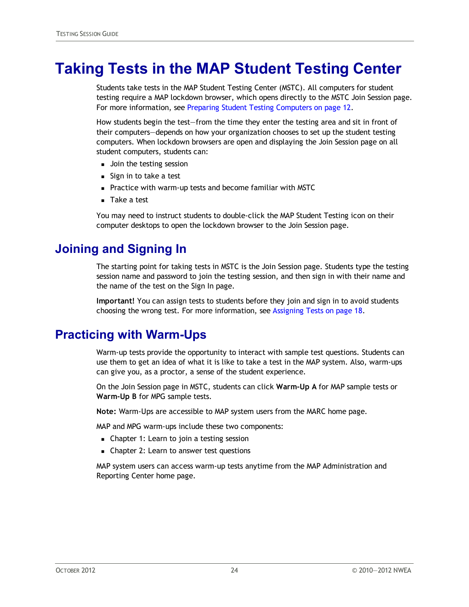## <span id="page-23-0"></span>**Taking Tests in the MAP Student Testing Center**

Students take tests in the MAP Student Testing Center (MSTC). All computers for student testing require a MAP lockdown browser, which opens directly to the MSTC Join Session page. For more information, see [Preparing](#page-11-0) [Student](#page-11-0) [Testing](#page-11-0) [Computers](#page-11-0) [on](#page-11-0) [page](#page-11-0) [12](#page-11-0).

How students begin the test—from the time they enter the testing area and sit in front of their computers—depends on how your organization chooses to set up the student testing computers. When lockdown browsers are open and displaying the Join Session page on all student computers, students can:

- **Join the testing session**
- $s$  Sign in to take a test
- **Practice with warm-up tests and become familiar with MSTC**
- **n** Take a test

You may need to instruct students to double-click the MAP Student Testing icon on their computer desktops to open the lockdown browser to the Join Session page.

### <span id="page-23-1"></span>**Joining and Signing In**

The starting point for taking tests in MSTC is the Join Session page. Students type the testing session name and password to join the testing session, and then sign in with their name and the name of the test on the Sign In page.

**Important!** You can assign tests to students before they join and sign in to avoid students choosing the wrong test. For more information, see [Assigning](#page-17-0) [Tests](#page-17-0) [on](#page-17-0) [page](#page-17-0) [18](#page-17-0).

#### <span id="page-23-2"></span>**Practicing with Warm-Ups**

Warm-up tests provide the opportunity to interact with sample test questions. Students can use them to get an idea of what it is like to take a test in the MAP system. Also, warm-ups can give you, as a proctor, a sense of the student experience.

On the Join Session page in MSTC, students can click **Warm-Up A** for MAP sample tests or **Warm-Up B** for MPG sample tests.

**Note:** Warm-Ups are accessible to MAP system users from the MARC home page.

MAP and MPG warm-ups include these two components:

- Chapter 1: Learn to join a testing session
- Chapter 2: Learn to answer test questions

MAP system users can access warm-up tests anytime from the MAP Administration and Reporting Center home page.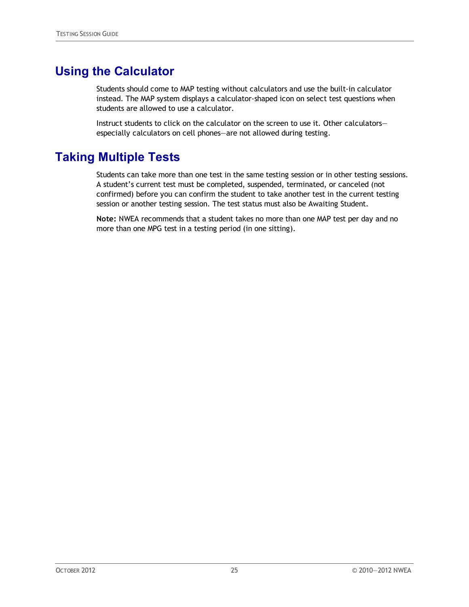### <span id="page-24-0"></span>**Using the Calculator**

Students should come to MAP testing without calculators and use the built-in calculator instead. The MAP system displays a calculator-shaped icon on select test questions when students are allowed to use a calculator.

Instruct students to click on the calculator on the screen to use it. Other calculators especially calculators on cell phones—are not allowed during testing.

### <span id="page-24-1"></span>**Taking Multiple Tests**

Students can take more than one test in the same testing session or in other testing sessions. A student's current test must be completed, suspended, terminated, or canceled (not confirmed) before you can confirm the student to take another test in the current testing session or another testing session. The test status must also be Awaiting Student.

**Note:** NWEA recommends that a student takes no more than one MAP test per day and no more than one MPG test in a testing period (in one sitting).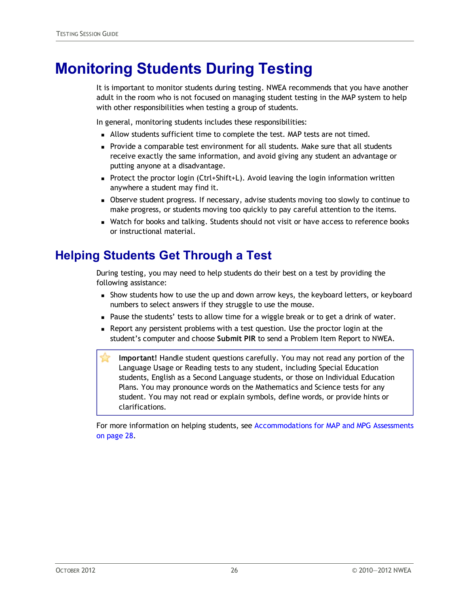## <span id="page-25-0"></span>**Monitoring Students During Testing**

It is important to monitor students during testing. NWEA recommends that you have another adult in the room who is not focused on managing student testing in the MAP system to help with other responsibilities when testing a group of students.

In general, monitoring students includes these responsibilities:

- n Allow students sufficient time to complete the test. MAP tests are not timed.
- **Provide a comparable test environment for all students. Make sure that all students** receive exactly the same information, and avoid giving any student an advantage or putting anyone at a disadvantage.
- **Protect the proctor login (Ctrl+Shift+L).** Avoid leaving the login information written anywhere a student may find it.
- <sup>n</sup> Observe student progress. If necessary, advise students moving too slowly to continue to make progress, or students moving too quickly to pay careful attention to the items.
- **Natch for books and talking. Students should not visit or have access to reference books** or instructional material.

### <span id="page-25-1"></span>**Helping Students Get Through a Test**

During testing, you may need to help students do their best on a test by providing the following assistance:

- **n** Show students how to use the up and down arrow keys, the keyboard letters, or keyboard numbers to select answers if they struggle to use the mouse.
- **Pause the students' tests to allow time for a wiggle break or to get a drink of water.**
- n Report any persistent problems with a test question. Use the proctor login at the student's computer and choose **Submit PIR** to send a Problem Item Report to NWEA.
- **Important!** Handle student questions carefully. You may not read any portion of the Language Usage or Reading tests to any student, including Special Education students, English as a Second Language students, or those on Individual Education Plans. You may pronounce words on the Mathematics and Science tests for any student. You may not read or explain symbols, define words, or provide hints or clarifications.

For more information on helping students, see [Accommodations](#page-27-0) [for](#page-27-0) [MAP](#page-27-0) [and](#page-27-0) [MPG](#page-27-0) [Assessments](#page-27-0) [on](#page-27-0) [page](#page-27-0) [28](#page-27-0).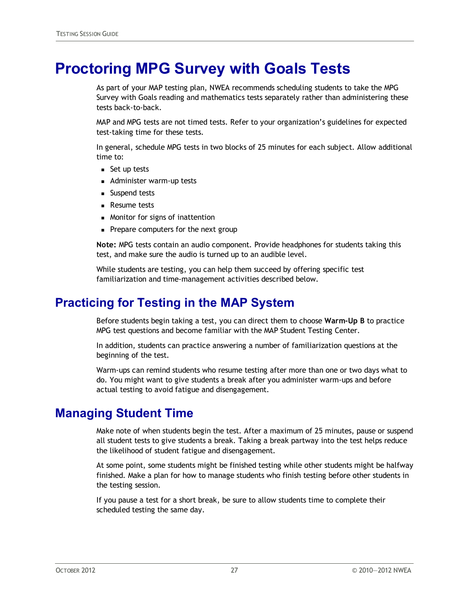## <span id="page-26-0"></span>**Proctoring MPG Survey with Goals Tests**

As part of your MAP testing plan, NWEA recommends scheduling students to take the MPG Survey with Goals reading and mathematics tests separately rather than administering these tests back-to-back.

MAP and MPG tests are not timed tests. Refer to your organization's guidelines for expected test-taking time for these tests.

In general, schedule MPG tests in two blocks of 25 minutes for each subject. Allow additional time to:

- $\blacksquare$  Set up tests
- **Administer warm-up tests**
- **n** Suspend tests
- **Resume tests**
- Monitor for signs of inattention
- Prepare computers for the next group

**Note:** MPG tests contain an audio component. Provide headphones for students taking this test, and make sure the audio is turned up to an audible level.

While students are testing, you can help them succeed by offering specific test familiarization and time-management activities described below.

### <span id="page-26-1"></span>**Practicing for Testing in the MAP System**

Before students begin taking a test, you can direct them to choose **Warm-Up B** to practice MPG test questions and become familiar with the MAP Student Testing Center.

In addition, students can practice answering a number of familiarization questions at the beginning of the test.

Warm-ups can remind students who resume testing after more than one or two days what to do. You might want to give students a break after you administer warm-ups and before actual testing to avoid fatigue and disengagement.

#### <span id="page-26-2"></span>**Managing Student Time**

Make note of when students begin the test. After a maximum of 25 minutes, pause or suspend all student tests to give students a break. Taking a break partway into the test helps reduce the likelihood of student fatigue and disengagement.

At some point, some students might be finished testing while other students might be halfway finished. Make a plan for how to manage students who finish testing before other students in the testing session.

If you pause a test for a short break, be sure to allow students time to complete their scheduled testing the same day.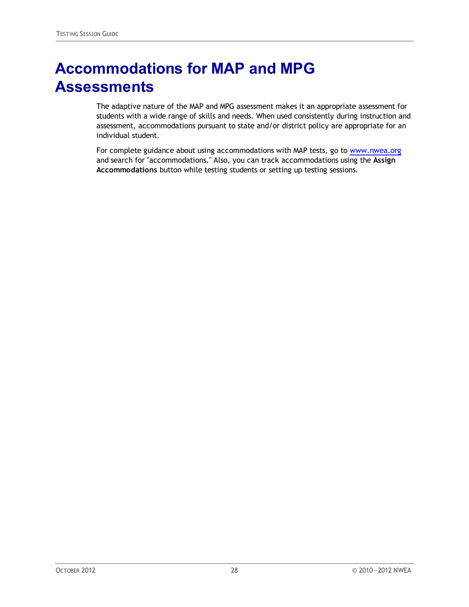# <span id="page-27-0"></span>**Accommodations for MAP and MPG Assessments**

The adaptive nature of the MAP and MPG assessment makes it an appropriate assessment for students with a wide range of skills and needs. When used consistently during instruction and assessment, accommodations pursuant to state and/or district policy are appropriate for an individual student.

For complete guidance about using accommodations with MAP tests, go to [www.nwea.org](http://www.nwea.org/) and search for "accommodations." Also, you can track accommodations using the **Assign Accommodations** button while testing students or setting up testing sessions.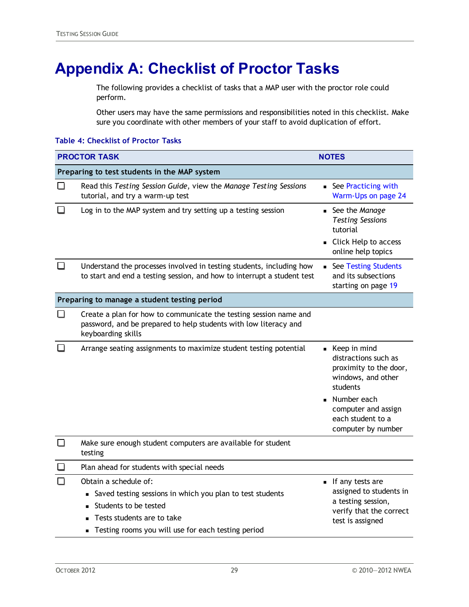# <span id="page-28-0"></span>**Appendix A: Checklist of Proctor Tasks**

The following provides a checklist of tasks that a MAP user with the proctor role could perform.

Other users may have the same permissions and responsibilities noted in this checklist. Make sure you coordinate with other members of your staff to avoid duplication of effort.

|        | <b>PROCTOR TASK</b>                                                                                                                                                                             | <b>NOTES</b>                                                                                                     |
|--------|-------------------------------------------------------------------------------------------------------------------------------------------------------------------------------------------------|------------------------------------------------------------------------------------------------------------------|
|        | Preparing to test students in the MAP system                                                                                                                                                    |                                                                                                                  |
|        | Read this Testing Session Guide, view the Manage Testing Sessions<br>tutorial, and try a warm-up test                                                                                           | See Practicing with<br>Warm-Ups on page 24                                                                       |
| П      | Log in to the MAP system and try setting up a testing session                                                                                                                                   | • See the Manage<br><b>Testing Sessions</b><br>tutorial<br>• Click Help to access                                |
|        |                                                                                                                                                                                                 | online help topics                                                                                               |
| ப      | Understand the processes involved in testing students, including how<br>to start and end a testing session, and how to interrupt a student test                                                 | See Testing Students<br>$\blacksquare$<br>and its subsections<br>starting on page 19                             |
|        | Preparing to manage a student testing period                                                                                                                                                    |                                                                                                                  |
| H      | Create a plan for how to communicate the testing session name and<br>password, and be prepared to help students with low literacy and<br>keyboarding skills                                     |                                                                                                                  |
|        | Arrange seating assignments to maximize student testing potential                                                                                                                               | Keep in mind<br>distractions such as<br>proximity to the door,<br>windows, and other<br>students                 |
|        |                                                                                                                                                                                                 | Number each<br>computer and assign<br>each student to a<br>computer by number                                    |
| $\Box$ | Make sure enough student computers are available for student<br>testing                                                                                                                         |                                                                                                                  |
|        | Plan ahead for students with special needs                                                                                                                                                      |                                                                                                                  |
|        | Obtain a schedule of:<br>Saved testing sessions in which you plan to test students<br>Students to be tested<br>Tests students are to take<br>Testing rooms you will use for each testing period | If any tests are<br>assigned to students in<br>a testing session,<br>verify that the correct<br>test is assigned |

#### **Table 4: Checklist of Proctor Tasks**